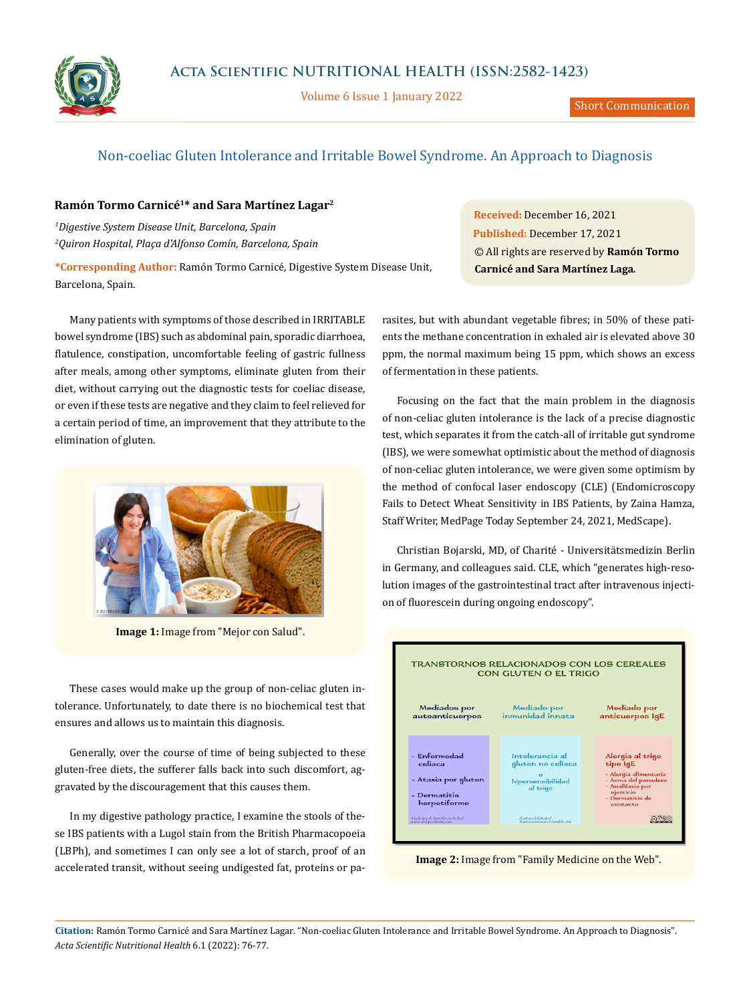

Volume 6 Issue 1 January 2022

## Non-coeliac Gluten Intolerance and Irritable Bowel Syndrome. An Approach to Diagnosis

## **Ramón Tormo Carnicé1\* and Sara Martínez Lagar2**

*1 Digestive System Disease Unit, Barcelona, Spain 2 Quiron Hospital, Plaça d'Alfonso Comín, Barcelona, Spain*

**\*Corresponding Author:** Ramón Tormo Carnicé, Digestive System Disease Unit, Barcelona, Spain.

Many patients with symptoms of those described in IRRITABLE bowel syndrome (IBS) such as abdominal pain, sporadic diarrhoea, flatulence, constipation, uncomfortable feeling of gastric fullness after meals, among other symptoms, eliminate gluten from their diet, without carrying out the diagnostic tests for coeliac disease, or even if these tests are negative and they claim to feel relieved for a certain period of time, an improvement that they attribute to the elimination of gluten.



**Image 1:** Image from "Mejor con Salud".

These cases would make up the group of non-celiac gluten intolerance. Unfortunately, to date there is no biochemical test that ensures and allows us to maintain this diagnosis.

Generally, over the course of time of being subjected to these gluten-free diets, the sufferer falls back into such discomfort, aggravated by the discouragement that this causes them.

In my digestive pathology practice, I examine the stools of these IBS patients with a Lugol stain from the British Pharmacopoeia (LBPh), and sometimes I can only see a lot of starch, proof of an accelerated transit, without seeing undigested fat, proteins or pa-

**Received:** December 16, 2021 **Published:** December 17, 2021 © All rights are reserved by **Ramón Tormo Carnicé and Sara Martínez Laga***.*

rasites, but with abundant vegetable fibres; in 50% of these patients the methane concentration in exhaled air is elevated above 30 ppm, the normal maximum being 15 ppm, which shows an excess of fermentation in these patients.

Focusing on the fact that the main problem in the diagnosis of non-celiac gluten intolerance is the lack of a precise diagnostic test, which separates it from the catch-all of irritable gut syndrome (IBS), we were somewhat optimistic about the method of diagnosis of non-celiac gluten intolerance, we were given some optimism by the method of confocal laser endoscopy (CLE) (Endomicroscopy Fails to Detect Wheat Sensitivity in IBS Patients, by Zaina Hamza, Staff Writer, MedPage Today September 24, 2021, MedScape).

Christian Bojarski, MD, of Charité - Universitätsmedizin Berlin in Germany, and colleagues said. CLE, which "generates high-resolution images of the gastrointestinal tract after intravenous injection of fluorescein during ongoing endoscopy".



**Image 2:** Image from "Family Medicine on the Web".

**Citation:** Ramón Tormo Carnicé and Sara Martínez Lagar*.* "Non-coeliac Gluten Intolerance and Irritable Bowel Syndrome. An Approach to Diagnosis". *Acta Scientific Nutritional Health* 6.1 (2022): 76-77.